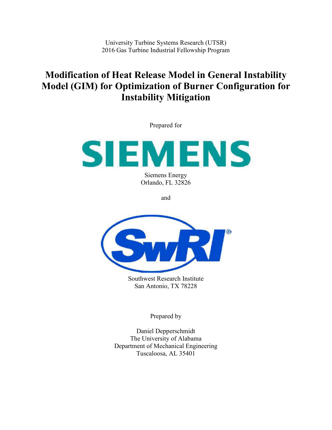University Turbine Systems Research (UTSR) 2016 Gas Turbine Industrial Fellowship Program

# **Modification of Heat Release Model in General Instability Model (GIM) for Optimization of Burner Configuration for Instability Mitigation**

Prepared for



Siemens Energy Orlando, FL 32826

and



Southwest Research Institute San Antonio, TX 78228

Prepared by

Daniel Depperschmidt The University of Alabama Department of Mechanical Engineering Tuscaloosa, AL 35401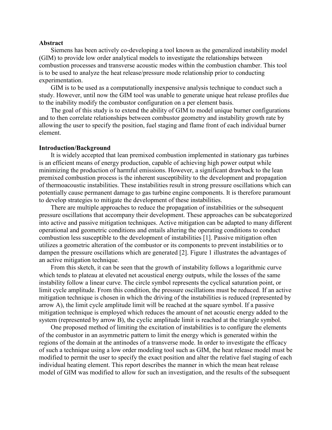### **Abstract**

Siemens has been actively co-developing a tool known as the generalized instability model (GIM) to provide low order analytical models to investigate the relationships between combustion processes and transverse acoustic modes within the combustion chamber. This tool is to be used to analyze the heat release/pressure mode relationship prior to conducting experimentation.

GIM is to be used as a computationally inexpensive analysis technique to conduct such a study. However, until now the GIM tool was unable to generate unique heat release profiles due to the inability modify the combustor configuration on a per element basis.

The goal of this study is to extend the ability of GIM to model unique burner configurations and to then correlate relationships between combustor geometry and instability growth rate by allowing the user to specify the position, fuel staging and flame front of each individual burner element.

### **Introduction/Background**

It is widely accepted that lean premixed combustion implemented in stationary gas turbines is an efficient means of energy production, capable of achieving high power output while minimizing the production of harmful emissions. However, a significant drawback to the lean premixed combustion process is the inherent susceptibility to the development and propagation of thermoacoustic instabilities. These instabilities result in strong pressure oscillations which can potentially cause permanent damage to gas turbine engine components. It is therefore paramount to develop strategies to mitigate the development of these instabilities.

There are multiple approaches to reduce the propagation of instabilities or the subsequent pressure oscillations that accompany their development. These approaches can be subcategorized into active and passive mitigation techniques. Active mitigation can be adapted to many different operational and geometric conditions and entails altering the operating conditions to conduct combustion less susceptible to the development of instabilities [1]. Passive mitigation often utilizes a geometric alteration of the combustor or its components to prevent instabilities or to dampen the pressure oscillations which are generated [2]. Figure 1 illustrates the advantages of an active mitigation technique.

From this sketch, it can be seen that the growth of instability follows a logarithmic curve which tends to plateau at elevated net acoustical energy outputs, while the losses of the same instability follow a linear curve. The circle symbol represents the cyclical saturation point, or limit cycle amplitude. From this condition, the pressure oscillations must be reduced. If an active mitigation technique is chosen in which the driving of the instabilities is reduced (represented by arrow A), the limit cycle amplitude limit will be reached at the square symbol. If a passive mitigation technique is employed which reduces the amount of net acoustic energy added to the system (represented by arrow B), the cyclic amplitude limit is reached at the triangle symbol.

One proposed method of limiting the excitation of instabilities is to configure the elements of the combustor in an asymmetric pattern to limit the energy which is generated within the regions of the domain at the antinodes of a transverse mode. In order to investigate the efficacy of such a technique using a low order modeling tool such as GIM, the heat release model must be modified to permit the user to specify the exact position and alter the relative fuel staging of each individual heating element. This report describes the manner in which the mean heat release model of GIM was modified to allow for such an investigation, and the results of the subsequent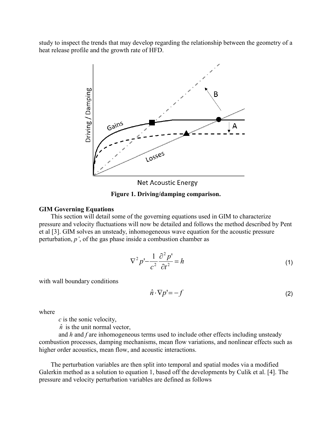study to inspect the trends that may develop regarding the relationship between the geometry of a heat release profile and the growth rate of HFD.



**Net Acoustic Energy** 

**Figure 1. Driving/damping comparison.**

## **GIM Governing Equations**

This section will detail some of the governing equations used in GIM to characterize pressure and velocity fluctuations will now be detailed and follows the method described by Pent et al [3]. GIM solves an unsteady, inhomogeneous wave equation for the acoustic pressure perturbation, *p'*, of the gas phase inside a combustion chamber as

$$
\nabla^2 p' - \frac{1}{c^2} \frac{\partial^2 p'}{\partial t^2} = h \tag{1}
$$

with wall boundary conditions

$$
\hat{n} \cdot \nabla p' = -f \tag{2}
$$

where

*c* is the sonic velocity,

 $\hat{n}$  is the unit normal vector,

and *h* and *f* are inhomogeneous terms used to include other effects including unsteady combustion processes, damping mechanisms, mean flow variations, and nonlinear effects such as higher order acoustics, mean flow, and acoustic interactions.

The perturbation variables are then split into temporal and spatial modes via a modified Galerkin method as a solution to equation 1, based off the developments by Culik et al. [4]. The pressure and velocity perturbation variables are defined as follows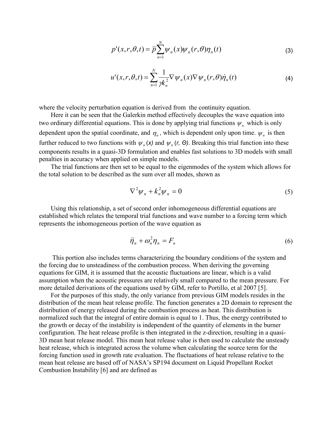$$
p'(x,r,\theta,t) = \overline{p} \sum_{n=1}^{N} \psi_n(x) \psi_n(r,\theta) \eta_n(t)
$$
\n(3)

$$
u'(x,r,\theta,t) = \sum_{n=1}^{N} \frac{1}{\gamma k_n^2} \nabla \psi_n(x) \nabla \psi_n(r,\theta) \dot{\eta}_n(t)
$$
\n(4)

where the velocity perturbation equation is derived from the continuity equation.

Here it can be seen that the Galerkin method effectively decouples the wave equation into two ordinary differential equations. This is done by applying trial functions  $\psi_n$  which is only dependent upon the spatial coordinate, and  $\eta_n$ , which is dependent only upon time.  $\psi_n$  is then further reduced to two functions with  $\psi_n(x)$  and  $\psi_n(r, \Theta)$ . Breaking this trial function into these components results in a quasi-3D formulation and enables fast solutions to 3D models with small penalties in accuracy when applied on simple models.

The trial functions are then set to be equal to the eigenmodes of the system which allows for the total solution to be described as the sum over all modes, shown as

$$
\nabla^2 \psi_n + k_n^2 \psi_n = 0 \tag{5}
$$

Using this relationship, a set of second order inhomogeneous differential equations are established which relates the temporal trial functions and wave number to a forcing term which represents the inhomogeneous portion of the wave equation as

$$
\ddot{\eta}_n + \omega_n^2 \eta_n = F_n \tag{6}
$$

This portion also includes terms characterizing the boundary conditions of the system and the forcing due to unsteadiness of the combustion process. When deriving the governing equations for GIM, it is assumed that the acoustic fluctuations are linear, which is a valid assumption when the acoustic pressures are relatively small compared to the mean pressure. For more detailed derivations of the equations used by GIM, refer to Portillo, et al 2007 [5].

For the purposes of this study, the only variance from previous GIM models resides in the distribution of the mean heat release profile. The function generates a 2D domain to represent the distribution of energy released during the combustion process as heat. This distribution is normalized such that the integral of entire domain is equal to 1. Thus, the energy contributed to the growth or decay of the instability is independent of the quantity of elements in the burner configuration. The heat release profile is then integrated in the z-direction, resulting in a quasi-3D mean heat release model. This mean heat release value is then used to calculate the unsteady heat release, which is integrated across the volume when calculating the source term for the forcing function used in growth rate evaluation. The fluctuations of heat release relative to the mean heat release are based off of NASA's SP194 document on Liquid Propellant Rocket Combustion Instability [6] and are defined as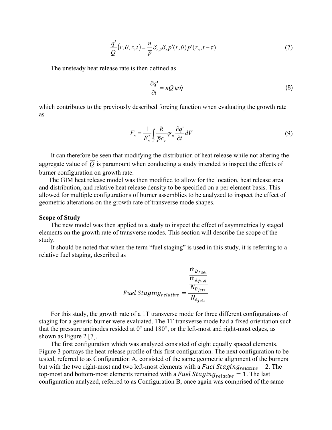$$
\frac{q'}{\overline{Q}}(r,\theta,z,t) = \frac{n}{\overline{p}} \delta_{r,\theta} \delta_z p'(r,\theta) p'(z_o,t-\tau)
$$
\n(7)

The unsteady heat release rate is then defined as

$$
\frac{\partial q'}{\partial t} = n \overline{Q} \psi \dot{\eta}
$$
 (8)

which contributes to the previously described forcing function when evaluating the growth rate as

$$
F_n = \frac{1}{E_n^2} \int_V \frac{R}{\overline{p}c_v} \psi_n \frac{\partial q^i}{\partial t} dV
$$
\n(9)

It can therefore be seen that modifying the distribution of heat release while not altering the aggregate value of  $\overline{Q}$  is paramount when conducting a study intended to inspect the effects of burner configuration on growth rate.

The GIM heat release model was then modified to allow for the location, heat release area and distribution, and relative heat release density to be specified on a per element basis. This allowed for multiple configurations of burner assemblies to be analyzed to inspect the effect of geometric alterations on the growth rate of transverse mode shapes.

#### **Scope of Study**

The new model was then applied to a study to inspect the effect of asymmetrically staged elements on the growth rate of transverse modes. This section will describe the scope of the study.

It should be noted that when the term "fuel staging" is used in this study, it is referring to a relative fuel staging, described as

$$
Full Staging relative = \frac{\frac{\dot{m}_{B_{fuel}}}{\dot{m}_{A_{fuel}}}}{N_{A_{jets}}}
$$

For this study, the growth rate of a 1T transverse mode for three different configurations of staging for a generic burner were evaluated. The 1T transverse mode had a fixed orientation such that the pressure antinodes resided at  $0^{\circ}$  and  $180^{\circ}$ , or the left-most and right-most edges, as shown as Figure 2 [7].

The first configuration which was analyzed consisted of eight equally spaced elements. Figure 3 portrays the heat release profile of this first configuration. The next configuration to be tested, referred to as Configuration A, consisted of the same geometric alignment of the burners but with the two right-most and two left-most elements with a Fuel Staging  $_{relative} = 2$ . The top-most and bottom-most elements remained with a Fuel Staging  $_{relative} = 1$ . The last configuration analyzed, referred to as Configuration B, once again was comprised of the same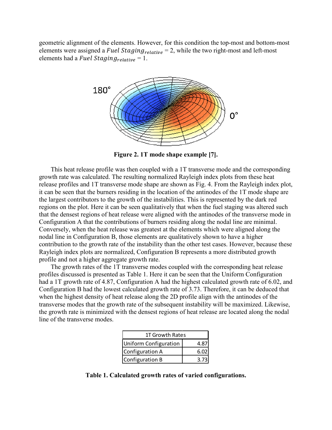geometric alignment of the elements. However, for this condition the top-most and bottom-most elements were assigned a Fuel Staging<sub>relative</sub> = 2, while the two right-most and left-most elements had a Fuel Staging<sub>relative</sub> = 1.



**Figure 2. 1T mode shape example [7].**

This heat release profile was then coupled with a 1T transverse mode and the corresponding growth rate was calculated. The resulting normalized Rayleigh index plots from these heat release profiles and 1T transverse mode shape are shown as Fig. 4. From the Rayleigh index plot, it can be seen that the burners residing in the location of the antinodes of the 1T mode shape are the largest contributors to the growth of the instabilities. This is represented by the dark red regions on the plot. Here it can be seen qualitatively that when the fuel staging was altered such that the densest regions of heat release were aligned with the antinodes of the transverse mode in Configuration A that the contributions of burners residing along the nodal line are minimal. Conversely, when the heat release was greatest at the elements which were aligned along the nodal line in Configuration B, those elements are qualitatively shown to have a higher contribution to the growth rate of the instability than the other test cases. However, because these Rayleigh index plots are normalized, Configuration B represents a more distributed growth profile and not a higher aggregate growth rate.

The growth rates of the 1T transverse modes coupled with the corresponding heat release profiles discussed is presented as Table 1. Here it can be seen that the Uniform Configuration had a 1T growth rate of 4.87, Configuration A had the highest calculated growth rate of 6.02, and Configuration B had the lowest calculated growth rate of 3.73. Therefore, it can be deduced that when the highest density of heat release along the 2D profile align with the antinodes of the transverse modes that the growth rate of the subsequent instability will be maximized. Likewise, the growth rate is minimized with the densest regions of heat release are located along the nodal line of the transverse modes.

| 1T Growth Rates       |      |
|-----------------------|------|
| Uniform Configuration | 4.8  |
| Configuration A       | 6.02 |
| Configuration B       | 3.73 |

**Table 1. Calculated growth rates of varied configurations.**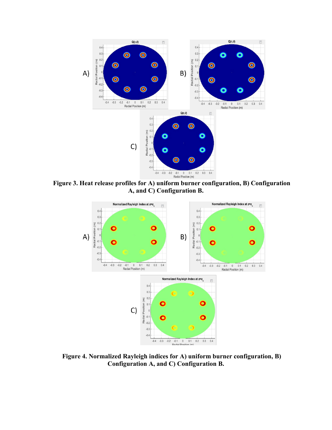

**Figure 3. Heat release profiles for A) uniform burner configuration, B) Configuration A, and C) Configuration B.**



**Figure 4. Normalized Rayleigh indices for A) uniform burner configuration, B) Configuration A, and C) Configuration B.**